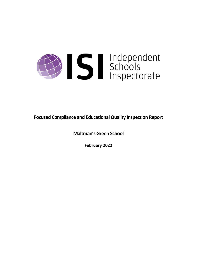

**Focused Compliance and EducationalQuality Inspection Report**

**Maltman's Green School**

**February 2022**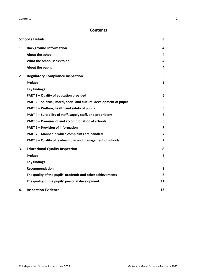# **Contents**

|    | <b>School's Details</b>                                              | 3                       |
|----|----------------------------------------------------------------------|-------------------------|
| 1. | <b>Background Information</b>                                        | 4                       |
|    | <b>About the school</b>                                              | 4                       |
|    | What the school seeks to do                                          | 4                       |
|    | About the pupils                                                     | 4                       |
| 2. | <b>Regulatory Compliance Inspection</b>                              | 5                       |
|    | Preface                                                              | 5                       |
|    | <b>Key findings</b>                                                  | 6                       |
|    | PART 1 - Quality of education provided                               | 6                       |
|    | PART 2 - Spiritual, moral, social and cultural development of pupils | 6                       |
|    | PART 3 - Welfare, health and safety of pupils                        | 6                       |
|    | PART 4 – Suitability of staff, supply staff, and proprietors         | 6                       |
|    | PART 5 - Premises of and accommodation at schools                    | 6                       |
|    | <b>PART 6 - Provision of information</b>                             | $\overline{\mathbf{z}}$ |
|    | PART 7 - Manner in which complaints are handled                      | 7                       |
|    | PART 8 - Quality of leadership in and management of schools          | $\overline{\mathbf{z}}$ |
| 3. | <b>Educational Quality Inspection</b>                                | 8                       |
|    | Preface                                                              | 8                       |
|    | <b>Key findings</b>                                                  | 8                       |
|    | <b>Recommendation</b>                                                | 8                       |
|    | The quality of the pupils' academic and other achievements           | 8                       |
|    | The quality of the pupils' personal development                      | 11                      |
| 4. | <b>Inspection Evidence</b>                                           | 13                      |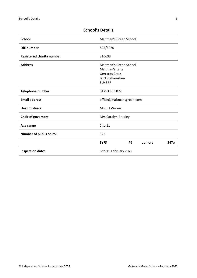| <b>School</b>                    | Maltman's Green School                                                                          |
|----------------------------------|-------------------------------------------------------------------------------------------------|
| <b>DfE</b> number                | 825/6020                                                                                        |
| <b>Registered charity number</b> | 310633                                                                                          |
| <b>Address</b>                   | Maltman's Green School<br>Maltman's Lane<br><b>Gerrards Cross</b><br>Buckinghamshire<br>SL9 8RR |
| Telephone number                 | 01753 883 022                                                                                   |
| <b>Email address</b>             | office@maltmansgreen.com                                                                        |
| <b>Headmistress</b>              | Mrs Jill Walker                                                                                 |
| <b>Chair of governors</b>        | Mrs Carolyn Bradley                                                                             |
| Age range                        | 2 to 11                                                                                         |
| Number of pupils on roll         | 323                                                                                             |
|                                  | 76<br><b>Juniors</b><br>247e<br><b>EYFS</b>                                                     |
| <b>Inspection dates</b>          | 8 to 11 February 2022                                                                           |

# <span id="page-2-0"></span>**School's Details**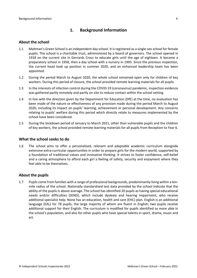# <span id="page-3-0"></span>**1. Background Information**

#### <span id="page-3-1"></span>**About the school**

- 1.1 Maltman's Green School is an independent day school. It isregistered as a single-sex school for female pupils. The school is a charitable trust, administered by a board of governors. The school opened in 1918 on the current site in Gerrards Cross to educate girls until the age of eighteen. It became a preparatory school in 1958, then a day school with a nursery in 1995. Since the previous inspection, the current head took up position in summer 2020, and an enhanced leadership team has been appointed.
- 1.2 During the period March to August 2020, the whole school remained open only for children of key workers. During this period of closure, the school provided remote learning materials for all pupils.
- 1.3 In the interests of infection control during the COVID-19 (coronavirus) pandemic, inspection evidence was gathered partly remotely and partly on site to reduce contact within the school setting.
- 1.4 In line with the direction given by the Department for Education (DfE) at the time, no evaluation has been made of the nature or effectiveness of any provision made during the period March to August 2020, including its impact on pupils' learning, achievement or personal development. Any concerns relating to pupils' welfare during this period which directly relate to measures implemented by the school have been considered.
- 1.5 During the lockdown period of January to March 2021, other than vulnerable pupils and the children of key workers, the school provided remote learning materials for all pupils from Reception to Year 6.

#### <span id="page-3-2"></span>**What the school seeks to do**

1.6 The school aims to offer a personalised, relevant and adaptable academic curriculum alongside extensive extra-curricular opportunities in order to prepare girls for the modern world, supported by a foundation of traditional values and innovative thinking. It strives to foster confidence, self-belief and a caring atmosphere to afford each girl a feeling of safety, security and enjoyment where they feel able to be themselves.

### <span id="page-3-3"></span>**About the pupils**

1.7 Pupils come from families with a range of professional backgrounds, predominantly living within a tenmile radius of the school. Nationally standardised test data provided by the school indicate that the ability of the pupils is above average. The school has identified 20 pupils as having special educational needs and/or difficulties (SEND), which include dyslexia and hearing impairment, who receive additional specialist help. None has an education, health and care (EHC) plan. English is an additional language (EAL) for 78 pupils, the large majority of whom are fluent in English; two pupils receive additional support for their English. The curriculum is modified for pupils identified as more able in the school's population, and also for other pupils who have special talents in sport, drama, music and art.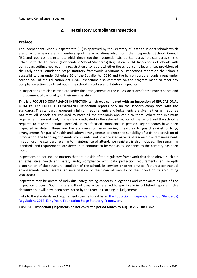# <span id="page-4-0"></span>**2. Regulatory Compliance Inspection**

### <span id="page-4-1"></span>**Preface**

The Independent Schools Inspectorate (ISI) is approved by the Secretary of State to inspect schools which are, or whose heads are, in membership of the associations which form the Independent Schools Council (ISC) and report on the extent to which they meet the Independent School Standards ('the standards') in the Schedule to the Education (Independent School Standards) Regulations 2014. Inspections of schools with early years settings not requiring registration also report whether the school complies with key provisions of the Early Years Foundation Stage statutory framework. Additionally, inspections report on the school's accessibility plan under Schedule 10 of the Equality Act 2010 and the ban on corporal punishment under section 548 of the Education Act 1996. Inspections also comment on the progress made to meet any compliance action points set out in the school's most recent statutory inspection.

ISI inspections are also carried out under the arrangements of the ISC Associations for the maintenance and improvement of the quality of their membership.

**This is a FOCUSED COMPLIANCE INSPECTION which was combined with an inspection of EDUCATIONAL QUALITY. The FOCUSED COMPLIANCE inspection reports only on the school's compliance with the standards.** The standards represent minimum requirements and judgements are given either as **met** or as **not met**. All schools are required to meet all the standards applicable to them. Where the minimum requirements are not met, this is clearly indicated in the relevant section of the report and the school is required to take the actions specified. In this focused compliance inspection, key standards have been inspected in detail. These are the standards on safeguarding; measures to guard against bullying; arrangements for pupils' health and safety; arrangements to check the suitability of staff; the provision of information; the handling of parents' complaints; and other related aspects of leadership and management. In addition, the standard relating to maintenance of attendance registers is also included. The remaining standards and requirements are deemed to continue to be met unless evidence to the contrary has been found.

Inspections do not include matters that are outside of the regulatory framework described above, such as: an exhaustive health and safety audit; compliance with data protection requirements; an in-depth examination of the structural condition of the school, its services or other physical features; contractual arrangements with parents; an investigation of the financial viability of the school or its accounting procedures.

Inspectors may be aware of individual safeguarding concerns, allegations and complaints as part of the inspection process. Such matters will not usually be referred to specifically in published reports in this document but will have been considered by the team in reaching its judgements.

Links to the standards and requirements can be found here: The Education [\(Independent](http://www.legislation.gov.uk/uksi/2014/3283/contents/made) School Standards) [Regulations](http://www.legislation.gov.uk/uksi/2014/3283/contents/made) 2014, Early Years Foundation Stage Statutory [Framework.](https://www.gov.uk/government/publications/early-years-foundation-stage-framework--2)

**COVID-19: Inspection judgements do not cover the period March to August 2020 inclusive.**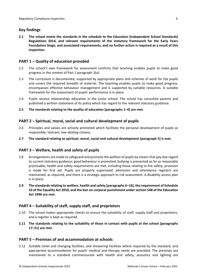# <span id="page-5-0"></span>**Key findings**

**2.1 The school meets the standards in the schedule to the Education (Independent School Standards) Regulations 2014, and relevant requirements of the statutory framework for the Early Years Foundation Stage, and associated requirements, and no further action is required as a result of this inspection.**

# <span id="page-5-1"></span>**PART 1 – Quality of education provided**

- 2.2 The school's own framework for assessment confirms that teaching enables pupils to make good progress in the context of Part 1 paragraph 3(a).
- 2.3 The curriculum is documented, supported by appropriate plans and schemes of work for the pupils and covers the required breadth of material. The teaching enables pupils to make good progress, encompasses effective behaviour management and is supported by suitable resources. A suitable framework for the assessment of pupils' performance is in place.
- 2.4 Pupils receive relationships education in the junior school. The school has consulted parents and published a written statement of its policy which has regard to the relevant statutory guidance.
- **2.5 The standards relating to the quality of education [paragraphs 1–4] are met.**

# <span id="page-5-2"></span>**PART 2 – Spiritual, moral, social and cultural development of pupils**

- 2.6 Principles and values are actively promoted which facilitate the personal development of pupils as responsible, tolerant, law-abiding citizens.
- **2.7 The standard relating to spiritual, moral, social and cultural development [paragraph 5] is met.**

### <span id="page-5-3"></span>**PART 3 – Welfare, health and safety of pupils**

- 2.8 Arrangements are made to safeguard and promote the welfare of pupils by means that pay due regard to current statutory guidance; good behaviour is promoted; bullying is prevented so far as reasonably practicable; health and safety requirements are met, including those relating to fire safety; provision is made for first aid. Pupils are properly supervised; admission and attendance registers are maintained, as required, and there is a strategic approach to risk assessment. A disability access plan is in place.
- **2.9 The standardsrelating to welfare, health and safety [paragraphs 6–16], the requirement of Schedule 10 of the Equality Act 2010, and the ban on corporal punishment undersection 548 of the Education Act 1996 are met.**

### <span id="page-5-4"></span>**PART 4 – Suitability of staff, supply staff, and proprietors**

- 2.10 The school makes appropriate checks to ensure the suitability of staff, supply staff and proprietors, and a register is kept as required.
- **2.11 The standards relating to the suitability of those in contact with pupils at the school [paragraphs 17–21] are met.**

### <span id="page-5-5"></span>**PART 5 – Premises of and accommodation at schools**

2.12 Suitable toilet and changing facilities, and showering facilities where required by the standard, and appropriate accommodation for pupils' medical and therapy needs are provided. The premises are maintained to a standard commensurate with health and safety; acoustics and lighting are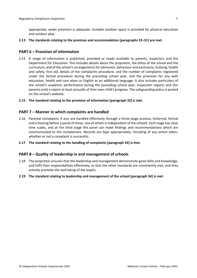appropriate; water provision is adequate. Suitable outdoor space is provided for physical education and outdoor play.

**2.13 The standards relating to the premises and accommodation [paragraphs 22–31] are met.**

#### <span id="page-6-0"></span>**PART 6 – Provision of information**

- 2.14 A range of information is published, provided or made available to parents, inspectors and the Department for Education. This includes details about the proprietor, the ethos of the school and the curriculum, and of the school's arrangementsfor admission, behaviour and exclusions, bullying, health and safety, first aid, details of the complaints procedure, and the number of complaints registered under the formal procedure during the preceding school year, and the provision for any with education, health and care plans or English as an additional language. It also includes particulars of the school's academic performance during the preceding school year, inspection reports and (for parents only) a report at least annually of their own child's progress. The safeguarding policy is posted on the school's website.
- **2.15 The standard relating to the provision of information [paragraph 32] is met.**

#### <span id="page-6-1"></span>**PART 7 – Manner in which complaints are handled**

- 2.16 Parental complaints, if any, are handled effectively through a three-stage process, (informal, formal and a hearing before a panel of three, one of whom isindependent of the school). Each stage has clear time scales, and at the third stage the panel can make findings and recommendations which are communicated to the complainant. Records are kept appropriately, including of any action taken, whether or not a complaint is successful.
- **2.17 The standard relating to the handling of complaints [paragraph 33] is met.**

#### <span id="page-6-2"></span>**PART 8 – Quality of leadership in and management of schools**

- 2.18 The proprietor ensures that the leadership and management demonstrate good skills and knowledge, and fulfil their responsibilities effectively, so that the other standards are consistently met, and they actively promote the well-being of the pupils-
- **2.19 The standard relating to leadership and management of the school [paragraph 34] is met.**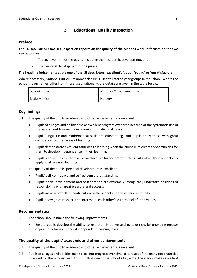# <span id="page-7-0"></span>**3. Educational Quality Inspection**

#### <span id="page-7-1"></span>**Preface**

**The EDUCATIONAL QUALITY inspection reports on the quality of the school's work**. It focuses on the two key outcomes:

- The achievement of the pupils, including their academic development, and
- The personal development of the pupils.

#### **The headline judgements apply one of the ISI descriptors 'excellent', 'good', 'sound' or 'unsatisfactory'.**

Where necessary, National Curriculum nomenclature is used to refer to year groups in the school. Where the school's own names differ from those used nationally, the details are given in the table below:

| School name    | National Curriculum name |
|----------------|--------------------------|
| Little Malties | Nursery                  |

# <span id="page-7-2"></span>**Key findings**

- 3.1 The quality of the pupils' academic and other achievements is excellent.
	- Pupils of all ages and abilities make excellent progress over time because of the systematic use of the assessment framework in planning for individual needs.
	- Pupils' linguistic and mathematical skills are outstanding, and pupils apply these with great confidence to other areas of learning.
	- Pupils demonstrate excellent attitudes to learning when the curriculum creates opportunities for them to develop independence in their learning.
	- Pupils readily think for themselves and acquire higher-order thinking skills which they instinctively apply to all areas of learning.
- 3.2 The quality of the pupils' personal development is excellent.
	- Pupils' self-confidence and self-esteem are outstanding.
	- Pupils' social development and collaboration are extremely strong; they undertake positions of responsibility with great pleasure and success.
	- Pupils make an excellent contribution to the school and the wider community.
	- Pupils show great respect, and interest in, each other's cultural beliefs and values.

#### <span id="page-7-3"></span>**Recommendation**

- 3.3 The school should make the following improvements.
	- Ensure pupils develop the ability to use their initiative and to take risks by providing greater opportunity for open-ended independent learning tasks.

#### <span id="page-7-4"></span>**The quality of the pupils' academic and other achievements**

- 3.4 The quality of the pupils' academic and other achievements is excellent.
- 3.5 Pupils of all ages and abilities make excellent progress over time, as a result of the many opportunities provided for them to succeed, thus fulfilling one of the school's key aims. The school makes excellent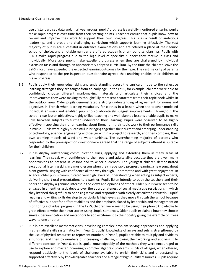use of standardised data and, in all year groups, pupils' progress is carefully monitored ensuring pupils make rapid progress over time from their starting points. Teachers ensure that pupils know how to review and improve their work to support their own progress. This is as a result of ambitious leadership, and a broad and challenging curriculum which supports learning effectively. The vast majority of pupils are successful in entrance examinations and are offered a place at their senior school of choice, and a notable number are offered academic or all-round scholarships. Pupils with SEND make rapid progress due to the high level of specialist support they receive in class and individually. More able pupils make excellent progress when they are challenged by individual extension tasks and through an appropriately adapted curriculum. By the time the children leave the EYFS, most have exceeded the expected learning outcomes for their age. The vast majority of parents who responded to the pre-inspection questionnaire agreed that teaching enables their children to make progress.

- 3.6 Pupils apply their knowledge, skills and understanding across the curriculum due to the reflective learning strategies they are taught from an early age. In the EYFS, for example, children were able to confidently choose different mark-making materials and articulate their choices and the improvements they were making to thoughtfully represent characters from their topic book whilst in the outdoor area. Older pupils demonstrated a strong understanding of agreement for nouns and adjectives in French when learning vocabulary for clothes in a lesson when the teacher modelled individual answers and enabled pupils to collaboratively suggest improvements. Throughout the school, clear lesson objectives, highly skilled teaching and well-planned lessons enable pupils to make links between subjects to further understand their learning. Pupils were observed to be highly effective in applying their prior learning about Romans in their topic work to their performance skills in music. Pupils were highly successful in bringing together their current and emerging understanding of technology, science, engineering and design within a project to research, and then compare, their own working models of wind and water turbines. The overwhelming majority of parents who responded to the pre-inspection questionnaire agreed that the range of subjects offered is suitable for their children.
- 3.7 Pupils display outstanding communication skills, applying and extending them in many areas of learning. They speak with confidence to their peers and adults alike because they are given many opportunities to present in lessons and to wider audiences. The youngest children demonstrated exceptional listening skills in a music lesson when they made rapid progress learning a new song about plant growth, singing with confidence all the way through, unprompted and with great enjoyment. In science, older pupils communicated very high levels of understanding when acting as subject experts, delivering short oral presentations to a partner. Pupils listen intently to both the teachers and their peers and display a genuine interest in the views and opinions of others. Older pupils were seen to be engaged in an enthusiastic debate over the appropriateness of social media age restrictions in which they listened thoughtfully to opposing views and responded with clearly articulated rebuttals. Pupils' reading and writing skills develop to particularly high levels as they move through the school because of effective support for different abilities and the emphasis placed by leadership and management on monitoring individual progress. In the EYFS, children were seen to be using their phonic knowledge to great effect to write their own stories using simple sentences. Older pupils explained how they choose similes, personification and metaphors to add excitement to their poetry giving the example of 'trees wave to one another'.
- 3.8 Pupils are excellent mathematicians, developing complex problem-solving approaches and applying mathematical skills systematically. In Year 2, pupils' knowledge of arrays and sets is strengthened by the use of physical resources to represent number. In Year 3, pupils are able to multiply and divide by a hundred and then by numbers of increasing challenge, showing their working and applying it to different contexts. In Year 6, pupils spoke knowledgeably of the methods they were encouraged to use to explore and master increasingly complex algebraic problems. Pupils of all ages, when offered, respond positively to the levels of challenge available to enrich their skills and understanding, supported effectively by knowledgeable teachers and a range of high-quality resources. Pupils acquire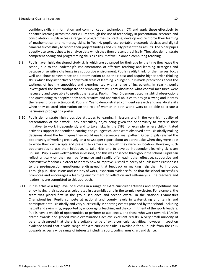confident skills in information and communication technology (ICT) and apply these effectively to enhance learning across the curriculum through the use of technology in presentation, research and consolidation. Pupils access a range of programmes to practise, develop and reinforce their learning of mathematical and numeracy skills. In Year 4, pupils use portable electronic devices and digital camerassuccessfully to record their project findings and visually present their results. The older pupils adeptly use spreadsheets to analyse data which they then present graphically. They also demonstrate competent coding and programming skills as a result of well-planned computing teaching.

- 3.9 Pupils have highly developed study skills which are advanced for their age by the time they leave the school, due to the leadership's implementation of effective teaching and learning strategies and because of sensitive challenge in a supportive environment. Pupils readily think for themselves, focus well and show perseverance and determination to do their best and acquire higher-order thinking skills which they instinctively apply to all areas of learning. Younger pupils made predictions about the tastiness of healthy smoothies and experimented with a range of ingredients. In Year 4, pupils investigated the best toothpaste for removing stains. They discussed what control measures were necessary and were able to predict the results. Pupils in Year 5 demonstrated insightful observations and questioning to adeptly apply both creative and analytical abilities to design a swing and identify the relevant forces acting on it. Pupils in Year 6 demonstrated confident research and analytical skills when they collated information on the role of women in both world wars to be able to create a persuasive propaganda poster.
- 3.10 Pupils demonstrate highly positive attitudes to learning in lessons and in the very high quality of presentation of their work. They particularly enjoy being given the opportunity to exercise their initiative, to work independently and to take risks. In the EYFS, for example, where child-initiated activities support independent learning, the youngest children were observed enthusiastically making decisions about the techniques they would use to recreate a snail pattern. Older pupils relished the opportunity of working creatively on a newspaper report about an earthquake when they were able to write their own scripts and present to camera as though they were on location. However, such opportunities to use their initiative, to take risks and to develop independent learning skills are unusual. Pupils work well together in lessons, and this was observed throughout the school. Pupils can reflect critically on their own performance and readily offer each other effective, supportive and constructive feedback in order to identify how to improve. A small minority of pupilsin their responses to the pre-inspection questionnaire disagreed that feedback or marking help them to improve. Through pupil discussions and scrutiny of work, inspection evidence found that the school successfully promotes and encourages a learning environment of reflection and self-analysis. The teachers and leadership are committed to this approach.
- 3.11 Pupils achieve a high level of success in a range of extra-curricular activities and competitions and enjoy having their successes celebrated in assemblies and in the termly newsletter. For example, the team was placed first in the group sequence and second overall in the National Gymnastics Championships. Pupils compete at national and county levels in water-skiing and tennis and participate enthusiastically and very successfully in sporting events provided by the school, including netball and swimming, supported by encouraging teaching and the commitment of the sportsleaders. Pupils have a wealth of opportunities to perform to audiences, and those who work towards LAMDA drama awards and graded music examinations achieve excellent results. A very small minority of parents disagreed that there is a suitable range of extra-curricular activities; however, inspection evidence found that a wide range of extra-curricular clubs is available for all pupils from the EYFS upwards across a wide range of interests including sport, coding, music, art and dance.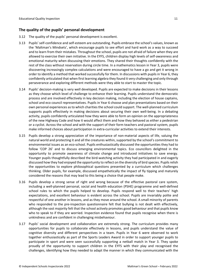# <span id="page-10-0"></span>**The quality of the pupils' personal development**

- 3.12 The quality of the pupils' personal development is excellent.
- 3.13 Pupils' self-confidence and self-esteem are outstanding. Pupils embrace the school's values, known as the 'Maltman's Mindsets', which encourage pupils to see effort and hard work as a way to succeed and to learn from their mistakes. Throughout the school, pupils are not afraid of failure when they are allowed to exercise their own initiative. In the EYFS, children display high levels of self-awareness and emotional maturity when discussing their emotions. They shared their thoughts confidently with the rest of the class without reservation during circle time. In a mathematics lesson in Year 3, pupils were discovering increasingly complex calculations and were encouraged to have a go and get it wrong in order to identify a method that worked successfully for them. In discussions with pupils in Year 6, they confidently articulated that when first learning algebra they found it very challenging and only through perseverance and exploring different methods were they able to start to master the topic.
- 3.14 Pupils' decision-making is very well developed. Pupils are expected to make decisions in their lessons as they choose which level of challenge to enhance their learning. Pupils understand the democratic process and are involved effectively in key decision making, including the election of house captains, school and eco council representatives. Pupils in Year 6 choose and plan presentations based on their own personal experiences as to which charities the school could support. The well-planned curriculum supports pupils effectively in making decisions about securing their own well-being. In a debating activity, pupils confidently articulated how they were able to form an opinion on the appropriateness of the new Highway Code and how it would affect them and how they behaved as either a pedestrian or a cyclist. Across the school and with the support of their form teachers and pastoral system, pupils make informed choices about participation in extra-curricular activities to extend their interests.
- 3.15 Pupils develop a strong appreciation of the importance of non-material aspects of life, valuing the natural world and protecting it and all the creatures within, supported by the school's commitment to environmental issues as an eco-school. Pupils enthusiastically discussed the opportunities they had to follow 'COP 26' and to discuss emerging environmental topics. Eco councillors delighted in the opportunity to promote awareness of climate change and introduced initiatives to save energy. Younger pupils thoughtfully described the bird-watching activity they had participated in and eagerly discussed how they had enjoyed the opportunity to reflect on the diversity of bird species. Pupils relish the opportunities to explore philosophical questions presented by a curriculum which challenges thinking. Older pupils, for example, discussed empathetically the impact of fly tipping and maturely considered the reasons that may lead to this being a choice that people make.
- 3.16 Pupils develop a strong sense of right and wrong because of the effective pastoral care system, including a well-planned personal, social and health education (PSHE) programme and well-defined school rules to which the pupils helped to develop. Pupils respond well to their teachers' high expectations, and excellent behaviour is evident across the school. Pupils are invariably polite and respectful of one another in lessons, and as they move around the school. A small minority of parents who responded to the pre-inspection questionnaire felt that bullying is not dealt with effectively, although the vast majority felt that the school actively promotes good behaviour and that pupils know who to speak to if they are worried. Inspection evidence found that pupils recognise when there is unkindness and are confident in challenging misbehaviour.
- 3.17 Pupils' social development and collaboration are extremely strong. The curriculum provides many opportunities for pupils to collaborate effectively in lessons, and pupils understand the value of cognitive diversity and different perspectives in a team. Pupils in Year 6 were observed to work together enthusiastically as part of the Sports Leaders Award in order to support younger pupils to participate in sport and were seen successfully supporting a netball match in Year 3. They spoke proudly of the opportunity to support children in the EYFS with their play and recognised the challenges, identifying how they needed to adapt the manner in which they communicated with the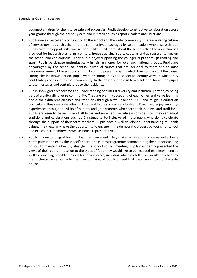youngest children for them to be safe and successful. Pupils develop constructive collaboration across year groups through the house system and initiatives such as sports leaders and librarians.

- 3.18 Pupils make an excellent contribution to the school and the wider community. There is a strong culture of service towards each other and the community, encouraged by senior leaders who ensure that all pupils have the opportunity take responsibility. Pupils throughout the school relish the opportunities provided for leadership as form monitors, house captains, sports captains and as representatives on the school and eco councils. Older pupils enjoy supporting the younger pupils through reading and sport. Pupils participate enthusiastically in raising money for local and national groups. Pupils are encouraged by the school to identify individual causes that are personal to them and to raise awareness amongst the school community and to present ways in which they can support the cause. During the lockdown period, pupils were encouraged by the school to identify ways in which they could safely contribute to their community. In the absence of a visit to a residential home, the pupils wrote messages and sent pictures to the residents.
- 3.19 Pupils show great respect for and understanding of cultural diversity and inclusion. They enjoy being part of a culturally diverse community. They are warmly accepting of each other and value learning about their different cultures and traditions through a well-planned PSHE and religious education curriculum. They celebrate other cultures and faiths such as Hanukkah and Diwali and enjoy enriching experiences through the visits of parents and grandparents who share their cultures and traditions. Pupils are keen to be inclusive of all faiths and none, and sensitively consider how they can adapt traditions and celebrations such as Christmas to be inclusive of those pupils who don't celebrate through the support of their form teachers. Pupils have a well-developed understanding of British values. They regularly have the opportunity to engage in the democratic process by voting for school and eco council members as well as house representatives.
- 3.20 Pupils' understanding of how to stay safe is excellent. They make sensible food choices and actively participate in and enjoy the school'ssports and games programme demonstrating their understanding of how to maintain a healthy lifestyle. In a school council meeting, pupils confidently presented the views of their peers in relation to the types of food they would like to be included on a new menu as well as providing credible reasons for their choices, including why they felt sushi would be a healthy menu choice. In response to the questionnaire, all pupils agreed that they know how to stay safe online.